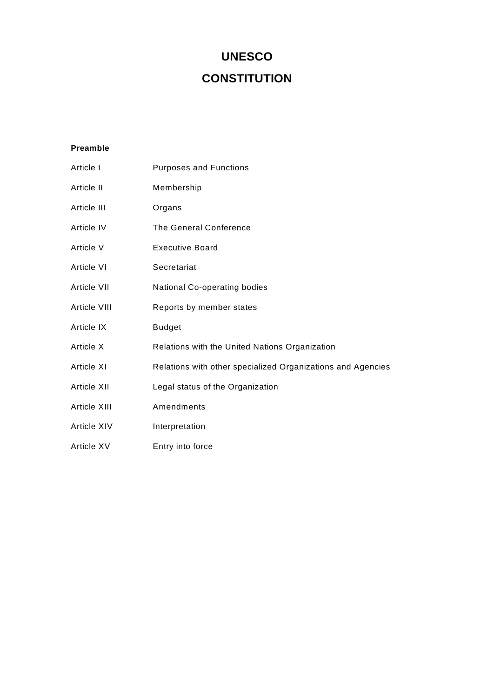# **UNESCO CONSTITUTION**

#### **Preamble**

- Article I Purposes and Functions
- [Article II](#page-1-0) Membership
- [Article III](#page-2-0) Organs
- Article IV [The General C](#page-2-0)onference
- Article V [Executive Boa](#page-3-0)rd
- Article VI [Secretariat](#page-4-0)
- Article VII [National Co-operati](#page-6-0)ng bodies
- Article VIII [Reports by me](#page-8-0)mber states
- [Article IX](#page-9-0) Budget
- Article X [Relations with the United Nat](#page-10-0)ions Organization
- [Article XI](#page-10-0) Relations with other specialized Organizations and Agencies
- Article XII [Legal status of the Organization](#page-10-0)
- Article XIII [Amendments](#page-10-0)
- Article XIV [Interpretation](#page-11-0)
- Article XV [Entry into force](#page-11-0)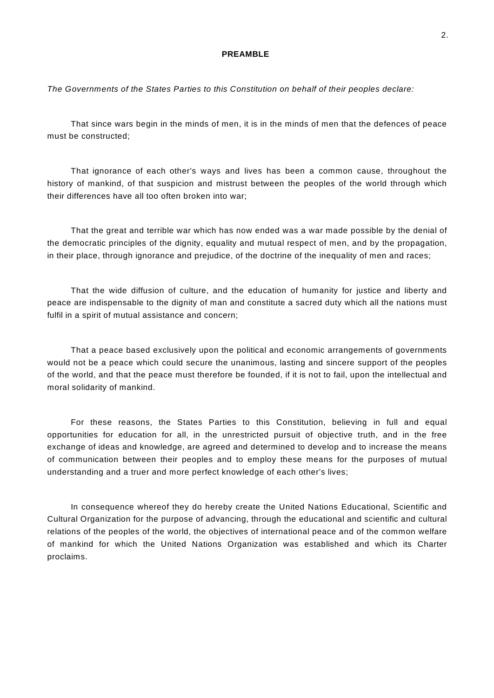#### **PREAMBLE**

<span id="page-1-0"></span>*The Governments of the States Parties to this Constitution on behalf of their peoples declare:*

That since wars begin in the minds of men, it is in the minds of men that the defences of peace must be constructed;

That ignorance of each other's ways and lives has been a common cause, throughout the history of mankind, of that suspicion and mistrust between the peoples of the world through which their differences have all too often broken into war;

That the great and terrible war which has now ended was a war made possible by the denial of the democratic principles of the dignity, equality and mutual respect of men, and by the propagation, in their place, through ignorance and prejudice, of the doctrine of the inequality of men and races;

That the wide diffusion of culture, and the education of humanity for justice and liberty and peace are indispensable to the dignity of man and constitute a sacred duty which all the nations must fulfil in a spirit of mutual assistance and concern;

That a peace based exclusively upon the political and economic arrangements of governments would not be a peace which could secure the unanimous, lasting and sincere support of the peoples of the world, and that the peace must therefore be founded, if it is not to fail, upon the intellectual and moral solidarity of mankind.

For these reasons, the States Parties to this Constitution, believing in full and equal opportunities for education for all, in the unrestricted pursuit of objective truth, and in the free exchange of ideas and knowledge, are agreed and determined to develop and to increase the means of communication between their peoples and to employ these means for the purposes of mutual understanding and a truer and more perfect knowledge of each other's lives;

In consequence whereof they do hereby create the United Nations Educational, Scientific and Cultural Organization for the purpose of advancing, through the educational and scientific and cultural relations of the peoples of the world, the objectives of international peace and of the common welfare of mankind for which the United Nations Organization was established and which its Charter proclaims.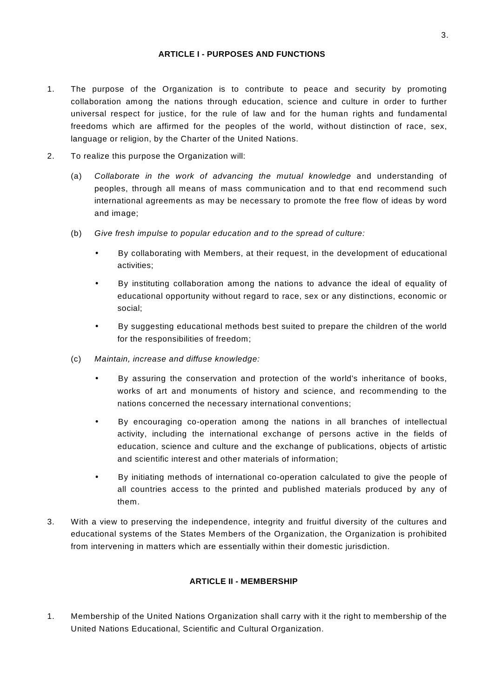## **ARTICLE I - PURPOSES AND FUNCTIONS**

- <span id="page-2-0"></span>1. The purpose of the Organization is to contribute to peace and security by promoting collaboration among the nations through education, science and culture in order to further universal respect for justice, for the rule of law and for the human rights and fundamental freedoms which are affirmed for the peoples of the world, without distinction of race, sex, language or religion, by the Charter of the United Nations.
- 2. To realize this purpose the Organization will:
	- (a) *Collaborate in the work of advancing the mutual knowledge* and understanding of peoples, through all means of mass communication and to that end recommend such international agreements as may be necessary to promote the free flow of ideas by word and image;
	- (b) *Give fresh impulse to popular education and to the spread of culture:*
		- By collaborating with Members, at their request, in the development of educational activities;
		- By instituting collaboration among the nations to advance the ideal of equality of educational opportunity without regard to race, sex or any distinctions, economic or social;
		- By suggesting educational methods best suited to prepare the children of the world for the responsibilities of freedom;
	- (c) *Maintain, increase and diffuse knowledge:*
		- By assuring the conservation and protection of the world's inheritance of books, works of art and monuments of history and science, and recommending to the nations concerned the necessary international conventions;
		- By encouraging co-operation among the nations in all branches of intellectual activity, including the international exchange of persons active in the fields of education, science and culture and the exchange of publications, objects of artistic and scientific interest and other materials of information;
		- By initiating methods of international co-operation calculated to give the people of all countries access to the printed and published materials produced by any of them.
- 3. With a view to preserving the independence, integrity and fruitful diversity of the cultures and educational systems of the States Members of the Organization, the Organization is prohibited from intervening in matters which are essentially within their domestic jurisdiction.

## **ARTICLE II - MEMBERSHIP**

1. Membership of the United Nations Organization shall carry with it the right to membership of the United Nations Educational, Scientific and Cultural Organization.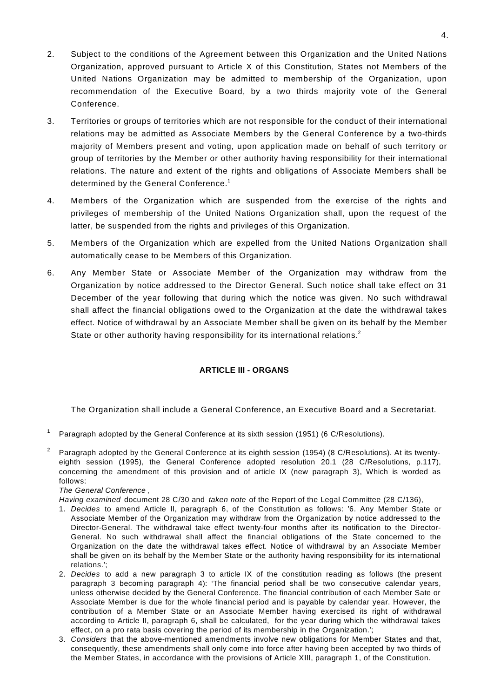- <span id="page-3-0"></span>2. Subject to the conditions of the Agreement between this Organization and the United Nations Organization, approved pursuant to Article X of this Constitution, States not Members of the United Nations Organization may be admitted to membership of the Organization, upon recommendation of the Executive Board, by a two thirds majority vote of the General Conference.
- 3. Territories or groups of territories which are not responsible for the conduct of their international relations may be admitted as Associate Members by the General Conference by a two-thirds majority of Members present and voting, upon application made on behalf of such territory or group of territories by the Member or other authority having responsibility for their international relations. The nature and extent of the rights and obligations of Associate Members shall be determined by the General Conference.<sup>1</sup>
- 4. Members of the Organization which are suspended from the exercise of the rights and privileges of membership of the United Nations Organization shall, upon the request of the latter, be suspended from the rights and privileges of this Organization.
- 5. Members of the Organization which are expelled from the United Nations Organization shall automatically cease to be Members of this Organization.
- 6. Any Member State or Associate Member of the Organization may withdraw from the Organization by notice addressed to the Director General. Such notice shall take effect on 31 December of the year following that during which the notice was given. No such withdrawal shall affect the financial obligations owed to the Organization at the date the withdrawal takes effect. Notice of withdrawal by an Associate Member shall be given on its behalf by the Member State or other authority having responsibility for its international relations.<sup>2</sup>

## **ARTICLE III - ORGANS**

The Organization shall include a General Conference, an Executive Board and a Secretariat.

*The General Conference* ,

l

*Having examined* document 28 C/30 and *taken note* of the Report of the Legal Committee (28 C/136),

- 1. *Decides* to amend Article II, paragraph 6, of the Constitution as follows: '6. Any Member State or Associate Member of the Organization may withdraw from the Organization by notice addressed to the Director-General. The withdrawal take effect twenty-four months after its notification to the Director-General. No such withdrawal shall affect the financial obligations of the State concerned to the Organization on the date the withdrawal takes effect. Notice of withdrawal by an Associate Member shall be given on its behalf by the Member State or the authority having responsibility for its international relations.';
- 2. *Decides* to add a new paragraph 3 to article IX of the constitution reading as follows (the present paragraph 3 becoming paragraph 4): 'The financial period shall be two consecutive calendar years, unless otherwise decided by the General Conference. The financial contribution of each Member Sate or Associate Member is due for the whole financial period and is payable by calendar year. However, the contribution of a Member State or an Associate Member having exercised its right of withdrawal according to Article II, paragraph 6, shall be calculated, for the year during which the withdrawal takes effect, on a pro rata basis covering the period of its membership in the Organization.';
- 3. *Considers* that the above-mentioned amendments involve new obligations for Member States and that, consequently, these amendments shall only come into force after having been accepted by two thirds of the Member States, in accordance with the provisions of Article XIII, paragraph 1, of the Constitution.

<sup>1</sup>Paragraph adopted by the General Conference at its sixth session (1951) (6 C/Resolutions).

Paragraph adopted by the General Conference at its eighth session (1954) (8 C/Resolutions). At its twentyeighth session (1995), the General Conference adopted resolution 20.1 (28 C/Resolutions, p.117), concerning the amendment of this provision and of article IX (new paragraph 3), Which is worded as follows: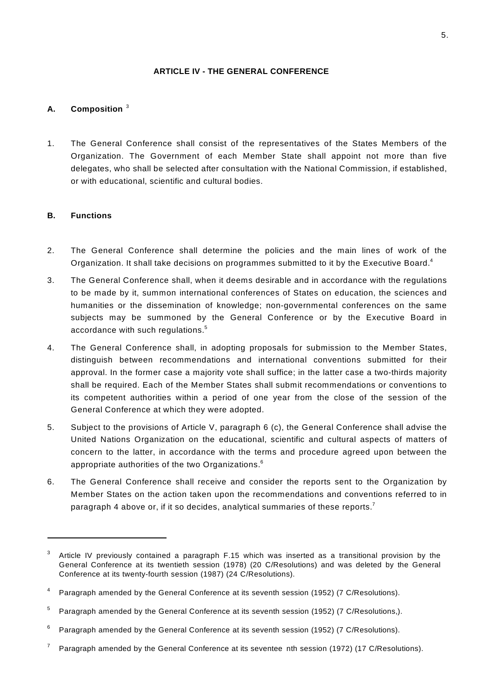#### **ARTICLE IV - THE GENERAL CONFERENCE**

#### <span id="page-4-0"></span>**A. Composition** <sup>3</sup>

1. The General Conference shall consist of the representatives of the States Members of the Organization. The Government of each Member State shall appoint not more than five delegates, who shall be selected after consultation with the National Commission, if established, or with educational, scientific and cultural bodies.

#### **B. Functions**

l

- 2. The General Conference shall determine the policies and the main lines of work of the Organization. It shall take decisions on programmes submitted to it by the Executive Board.<sup>4</sup>
- 3. The General Conference shall, when it deems desirable and in accordance with the regulations to be made by it, summon international conferences of States on education, the sciences and humanities or the dissemination of knowledge; non-governmental conferences on the same subjects may be summoned by the General Conference or by the Executive Board in accordance with such regulations.<sup>5</sup>
- 4. The General Conference shall, in adopting proposals for submission to the Member States, distinguish between recommendations and international conventions submitted for their approval. In the former case a majority vote shall suffice; in the latter case a two-thirds majority shall be required. Each of the Member States shall submit recommendations or conventions to its competent authorities within a period of one year from the close of the session of the General Conference at which they were adopted.
- 5. Subject to the provisions of Article V, paragraph 6 (c), the General Conference shall advise the United Nations Organization on the educational, scientific and cultural aspects of matters of concern to the latter, in accordance with the terms and procedure agreed upon between the appropriate authorities of the two Organizations.<sup>6</sup>
- 6. The General Conference shall receive and consider the reports sent to the Organization by Member States on the action taken upon the recommendations and conventions referred to in paragraph 4 above or, if it so decides, analytical summaries of these reports.<sup>7</sup>

<sup>3</sup>Article IV previously contained a paragraph F.15 which was inserted as a transitional provision by the General Conference at its twentieth session (1978) (20 C/Resolutions) and was deleted by the General Conference at its twenty-fourth session (1987) (24 C/Resolutions).

<sup>4</sup>Paragraph amended by the General Conference at its seventh session (1952) (7 C/Resolutions).

 $5$  Paragraph amended by the General Conference at its seventh session (1952) (7 C/Resolutions,).

 $6$  Paragraph amended by the General Conference at its seventh session (1952) (7 C/Resolutions).

Paragraph amended by the General Conference at its seventee nth session (1972) (17 C/Resolutions).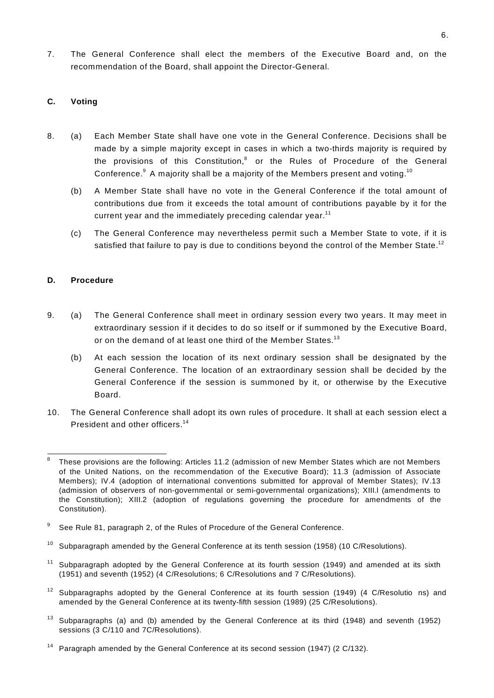7. The General Conference shall elect the members of the Executive Board and, on the recommendation of the Board, shall appoint the Director-General.

## **C. Voting**

- 8. (a) Each Member State shall have one vote in the General Conference. Decisions shall be made by a simple majority except in cases in which a two-thirds majority is required by the provisions of this Constitution, $8$  or the Rules of Procedure of the General Conference. $9$  A majority shall be a majority of the Members present and voting.<sup>10</sup>
	- (b) A Member State shall have no vote in the General Conference if the total amount of contributions due from it exceeds the total amount of contributions payable by it for the current year and the immediately preceding calendar year.<sup>11</sup>
	- (c) The General Conference may nevertheless permit such a Member State to vote, if it is satisfied that failure to pay is due to conditions beyond the control of the Member State.<sup>12</sup>

## **D. Procedure**

- 9. (a) The General Conference shall meet in ordinary session every two years. It may meet in extraordinary session if it decides to do so itself or if summoned by the Executive Board, or on the demand of at least one third of the Member States.<sup>13</sup>
	- (b) At each session the location of its next ordinary session shall be designated by the General Conference. The location of an extraordinary session shall be decided by the General Conference if the session is summoned by it, or otherwise by the Executive Board.
- 10. The General Conference shall adopt its own rules of procedure. It shall at each session elect a President and other officers.<sup>14</sup>

- <sup>12</sup> Subparagraphs adopted by the General Conference at its fourth session (1949) (4 C/Resolutio ns) and amended by the General Conference at its twenty-fifth session (1989) (25 C/Resolutions).
- $13$  Subparagraphs (a) and (b) amended by the General Conference at its third (1948) and seventh (1952) sessions (3 C/110 and 7C/Resolutions).

l These provisions are the following: Articles 11.2 (admission of new Member States which are not Members of the United Nations, on the recommendation of the Executive Board); 11.3 (admission of Associate Members); IV.4 (adoption of international conventions submitted for approval of Member States); IV.13 (admission of observers of non-governmental or semi-governmental organizations); XIII.l (amendments to the Constitution); XIII.2 (adoption of regulations governing the procedure for amendments of the Constitution).

 $9$  See Rule 81, paragraph 2, of the Rules of Procedure of the General Conference.

 $10$  Subparagraph amended by the General Conference at its tenth session (1958) (10 C/Resolutions).

<sup>&</sup>lt;sup>11</sup> Subparagraph adopted by the General Conference at its fourth session (1949) and amended at its sixth (1951) and seventh (1952) (4 C/Resolutions; 6 C/Resolutions and 7 C/Resolutions).

<sup>&</sup>lt;sup>14</sup> Paragraph amended by the General Conference at its second session (1947) (2 C/132).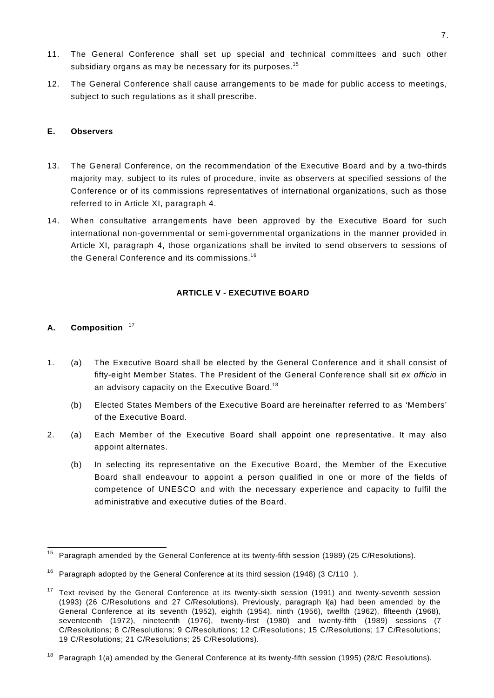- <span id="page-6-0"></span>11. The General Conference shall set up special and technical committees and such other subsidiary organs as may be necessary for its purposes.<sup>15</sup>
- 12. The General Conference shall cause arrangements to be made for public access to meetings, subject to such regulations as it shall prescribe.

## **E. Observers**

- 13. The General Conference, on the recommendation of the Executive Board and by a two-thirds majority may, subject to its rules of procedure, invite as observers at specified sessions of the Conference or of its commissions representatives of international organizations, such as those referred to in Article XI, paragraph 4.
- 14. When consultative arrangements have been approved by the Executive Board for such international non-governmental or semi-governmental organizations in the manner provided in Article XI, paragraph 4, those organizations shall be invited to send observers to sessions of the General Conference and its commissions.<sup>16</sup>

## **ARTICLE V - EXECUTIVE BOARD**

## **A. Composition** <sup>17</sup>

l

- 1. (a) The Executive Board shall be elected by the General Conference and it shall consist of fifty-eight Member States. The President of the General Conference shall sit *ex officio* in an advisory capacity on the Executive Board.<sup>18</sup>
	- (b) Elected States Members of the Executive Board are hereinafter referred to as 'Members' of the Executive Board.
- 2. (a) Each Member of the Executive Board shall appoint one representative. It may also appoint alternates.
	- (b) In selecting its representative on the Executive Board, the Member of the Executive Board shall endeavour to appoint a person qualified in one or more of the fields of competence of UNESCO and with the necessary experience and capacity to fulfil the administrative and executive duties of the Board.

<sup>&</sup>lt;sup>15</sup> Paragraph amended by the General Conference at its twenty-fifth session (1989) (25 C/Resolutions).

<sup>&</sup>lt;sup>16</sup> Paragraph adopted by the General Conference at its third session (1948) (3 C/110 ).

<sup>&</sup>lt;sup>17</sup> Text revised by the General Conference at its twenty-sixth session (1991) and twenty-seventh session (1993) (26 C/Resolutions and 27 C/Resolutions). Previously, paragraph l(a) had been amended by the General Conference at its seventh (1952), eighth (1954), ninth (1956), twelfth (1962), fifteenth (1968), seventeenth (1972), nineteenth (1976), twenty-first (1980) and twenty-fifth (1989) sessions (7 C/Resolutions; 8 C/Resolutions; 9 C/Resolutions; 12 C/Resolutions; 15 C/Resolutions; 17 C/Resolutions; 19 C/Resolutions; 21 C/Resolutions; 25 C/Resolutions).

<sup>&</sup>lt;sup>18</sup> Paragraph 1(a) amended by the General Conference at its twenty-fifth session (1995) (28/C Resolutions).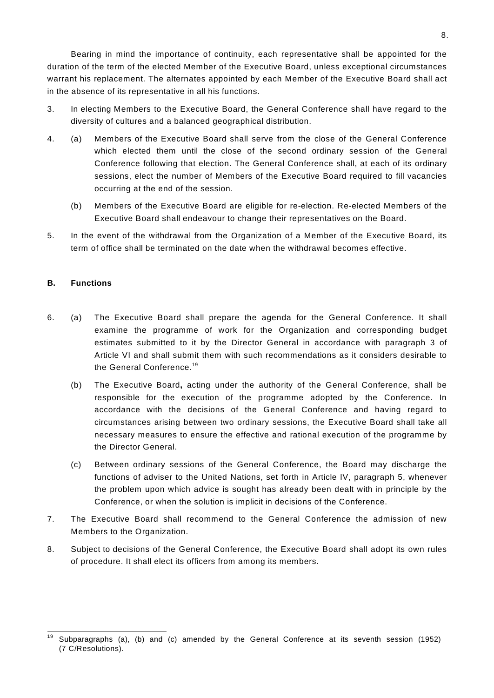Bearing in mind the importance of continuity, each representative shall be appointed for the duration of the term of the elected Member of the Executive Board, unless exceptional circumstances warrant his replacement. The alternates appointed by each Member of the Executive Board shall act in the absence of its representative in all his functions.

- 3. In electing Members to the Executive Board, the General Conference shall have regard to the diversity of cultures and a balanced geographical distribution.
- 4. (a) Members of the Executive Board shall serve from the close of the General Conference which elected them until the close of the second ordinary session of the General Conference following that election. The General Conference shall, at each of its ordinary sessions, elect the number of Members of the Executive Board required to fill vacancies occurring at the end of the session.
	- (b) Members of the Executive Board are eligible for re-election. Re-elected Members of the Executive Board shall endeavour to change their representatives on the Board.
- 5. In the event of the withdrawal from the Organization of a Member of the Executive Board, its term of office shall be terminated on the date when the withdrawal becomes effective.

#### **B. Functions**

- 6. (a) The Executive Board shall prepare the agenda for the General Conference. It shall examine the programme of work for the Organization and corresponding budget estimates submitted to it by the Director General in accordance with paragraph 3 of Article VI and shall submit them with such recommendations as it considers desirable to the General Conference.<sup>19</sup>
	- (b) The Executive Board**,** acting under the authority of the General Conference, shall be responsible for the execution of the programme adopted by the Conference. In accordance with the decisions of the General Conference and having regard to circumstances arising between two ordinary sessions, the Executive Board shall take all necessary measures to ensure the effective and rational execution of the programme by the Director General.
	- (c) Between ordinary sessions of the General Conference, the Board may discharge the functions of adviser to the United Nations, set forth in Article IV, paragraph 5, whenever the problem upon which advice is sought has already been dealt with in principle by the Conference, or when the solution is implicit in decisions of the Conference.
- 7. The Executive Board shall recommend to the General Conference the admission of new Members to the Organization.
- 8. Subject to decisions of the General Conference, the Executive Board shall adopt its own rules of procedure. It shall elect its officers from among its members.

<sup>19</sup> <sup>19</sup>Subparagraphs (a), (b) and (c) amended by the General Conference at its seventh session (1952) (7 C/Resolutions).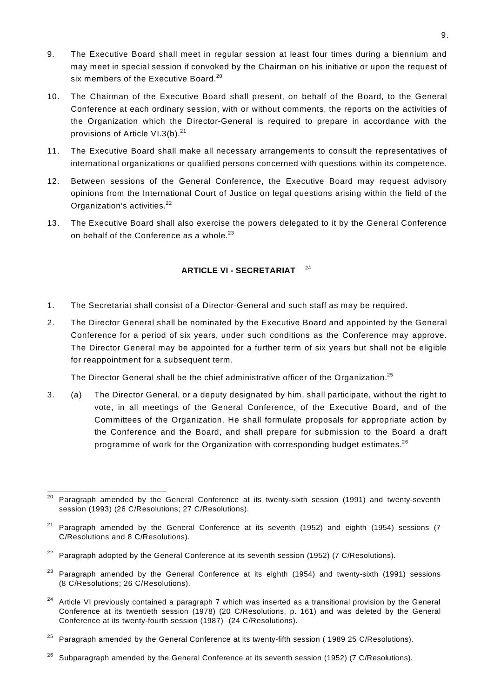- <span id="page-8-0"></span>9. The Executive Board shall meet in regular session at least four times during a biennium and may meet in special session if convoked by the Chairman on his initiative or upon the request of six members of the Executive Board.<sup>20</sup>
- 10. The Chairman of the Executive Board shall present, on behalf of the Board, to the General Conference at each ordinary session, with or without comments, the reports on the activities of the Organization which the Director-General is required to prepare in accordance with the provisions of Article VI.3(b). $21$
- 11. The Executive Board shall make all necessary arrangements to consult the representatives of international organizations or qualified persons concerned with questions within its competence.
- 12. Between sessions of the General Conference, the Executive Board may request advisory opinions from the International Court of Justice on legal questions arising within the field of the Organization's activities.<sup>22</sup>
- 13. The Executive Board shall also exercise the powers delegated to it by the General Conference on behalf of the Conference as a whole.<sup>23</sup>

## **ARTICLE VI - SECRETARIAT** <sup>24</sup>

- 1. The Secretariat shall consist of a Director-General and such staff as may be required.
- 2. The Director General shall be nominated by the Executive Board and appointed by the General Conference for a period of six years, under such conditions as the Conference may approve. The Director General may be appointed for a further term of six years but shall not be eligible for reappointment for a subsequent term.

The Director General shall be the chief administrative officer of the Organization.<sup>25</sup>

3. (a) The Director General, or a deputy designated by him, shall participate, without the right to vote, in all meetings of the General Conference, of the Executive Board, and of the Committees of the Organization. He shall formulate proposals for appropriate action by the Conference and the Board, and shall prepare for submission to the Board a draft programme of work for the Organization with corresponding budget estimates.<sup>26</sup>

- <sup>22</sup> Paragraph adopted by the General Conference at its seventh session (1952) (7 C/Resolutions).
- <sup>23</sup> Paragraph amended by the General Conference at its eighth (1954) and twenty-sixth (1991) sessions (8 C/Resolutions; 26 C/Resolutions).
- <sup>24</sup> Article VI previously contained a paragraph 7 which was inserted as a transitional provision by the General Conference at its twentieth session (1978) (20 C/Resolutions, p. 161) and was deleted by the General Conference at its twenty-fourth session (1987) (24 C/Resolutions).
- $25$  Paragraph amended by the General Conference at its twenty-fifth session ( 1989 25 C/Resolutions).
- $26$  Subparagraph amended by the General Conference at its seventh session (1952) (7 C/Resolutions).

l  $^{20}$  Paragraph amended by the General Conference at its twenty-sixth session (1991) and twenty-seventh session (1993) (26 C/Resolutions; 27 C/Resolutions).

 $21$  Paragraph amended by the General Conference at its seventh (1952) and eighth (1954) sessions (7 C/Resolutions and 8 C/Resolutions).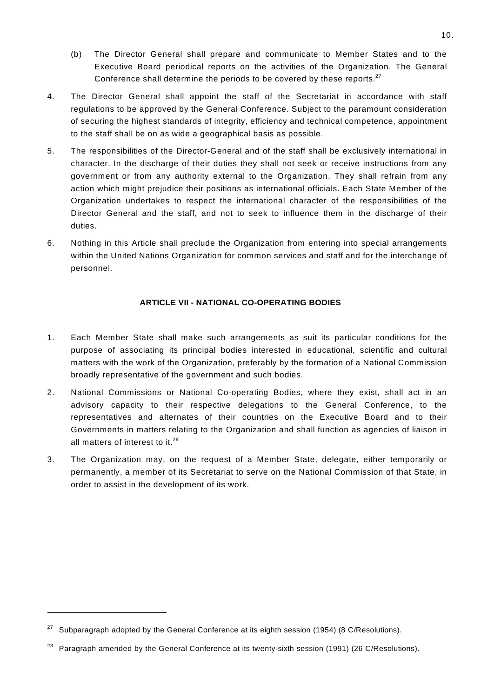- <span id="page-9-0"></span>(b) The Director General shall prepare and communicate to Member States and to the Executive Board periodical reports on the activities of the Organization. The General Conference shall determine the periods to be covered by these reports.<sup>27</sup>
- 4. The Director General shall appoint the staff of the Secretariat in accordance with staff regulations to be approved by the General Conference. Subject to the paramount consideration of securing the highest standards of integrity, efficiency and technical competence, appointment to the staff shall be on as wide a geographical basis as possible.
- 5. The responsibilities of the Director-General and of the staff shall be exclusively international in character. In the discharge of their duties they shall not seek or receive instructions from any government or from any authority external to the Organization. They shall refrain from any action which might prejudice their positions as international officials. Each State Member of the Organization undertakes to respect the international character of the responsibilities of the Director General and the staff, and not to seek to influence them in the discharge of their duties.
- 6. Nothing in this Article shall preclude the Organization from entering into special arrangements within the United Nations Organization for common services and staff and for the interchange of personnel.

## **ARTICLE VII - NATIONAL CO-OPERATING BODIES**

- 1. Each Member State shall make such arrangements as suit its particular conditions for the purpose of associating its principal bodies interested in educational, scientific and cultural matters with the work of the Organization, preferably by the formation of a National Commission broadly representative of the government and such bodies.
- 2. National Commissions or National Co-operating Bodies, where they exist, shall act in an advisory capacity to their respective delegations to the General Conference, to the representatives and alternates of their countries on the Executive Board and to their Governments in matters relating to the Organization and shall function as agencies of liaison in all matters of interest to it.<sup>28</sup>
- 3. The Organization may, on the request of a Member State, delegate, either temporarily or permanently, a member of its Secretariat to serve on the National Commission of that State, in order to assist in the development of its work.

l

<sup>&</sup>lt;sup>27</sup> Subparagraph adopted by the General Conference at its eighth session (1954) (8 C/Resolutions).

<sup>&</sup>lt;sup>28</sup> Paragraph amended by the General Conference at its twenty-sixth session (1991) (26 C/Resolutions).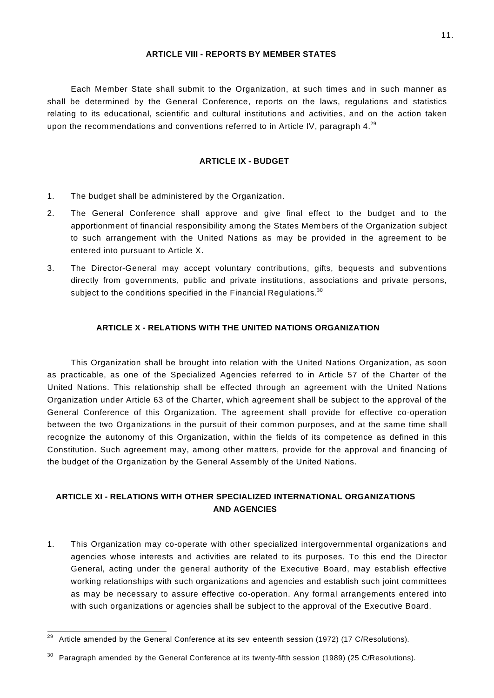## **ARTICLE VIII - REPORTS BY MEMBER STATES**

<span id="page-10-0"></span>Each Member State shall submit to the Organization, at such times and in such manner as shall be determined by the General Conference, reports on the laws, regulations and statistics relating to its educational, scientific and cultural institutions and activities, and on the action taken upon the recommendations and conventions referred to in Article IV, paragraph  $4.^{29}$ 

## **ARTICLE IX - BUDGET**

- 1. The budget shall be administered by the Organization.
- 2. The General Conference shall approve and give final effect to the budget and to the apportionment of financial responsibility among the States Members of the Organization subject to such arrangement with the United Nations as may be provided in the agreement to be entered into pursuant to Article X.
- 3. The Director-General may accept voluntary contributions, gifts, bequests and subventions directly from governments, public and private institutions, associations and private persons, subject to the conditions specified in the Financial Regulations.<sup>30</sup>

## **ARTICLE X - RELATIONS WITH THE UNITED NATIONS ORGANIZATION**

This Organization shall be brought into relation with the United Nations Organization, as soon as practicable, as one of the Specialized Agencies referred to in Article 57 of the Charter of the United Nations. This relationship shall be effected through an agreement with the United Nations Organization under Article 63 of the Charter, which agreement shall be subject to the approval of the General Conference of this Organization. The agreement shall provide for effective co-operation between the two Organizations in the pursuit of their common purposes, and at the same time shall recognize the autonomy of this Organization, within the fields of its competence as defined in this Constitution. Such agreement may, among other matters, provide for the approval and financing of the budget of the Organization by the General Assembly of the United Nations.

## **ARTICLE XI - RELATIONS WITH OTHER SPECIALIZED INTERNATIONAL ORGANIZATIONS AND AGENCIES**

1. This Organization may co-operate with other specialized intergovernmental organizations and agencies whose interests and activities are related to its purposes. To this end the Director General, acting under the general authority of the Executive Board, may establish effective working relationships with such organizations and agencies and establish such joint committees as may be necessary to assure effective co-operation. Any formal arrangements entered into with such organizations or agencies shall be subject to the approval of the Executive Board.

<sup>29</sup> Article amended by the General Conference at its sev enteenth session (1972) (17 C/Resolutions).

 $30$  Paragraph amended by the General Conference at its twenty-fifth session (1989) (25 C/Resolutions).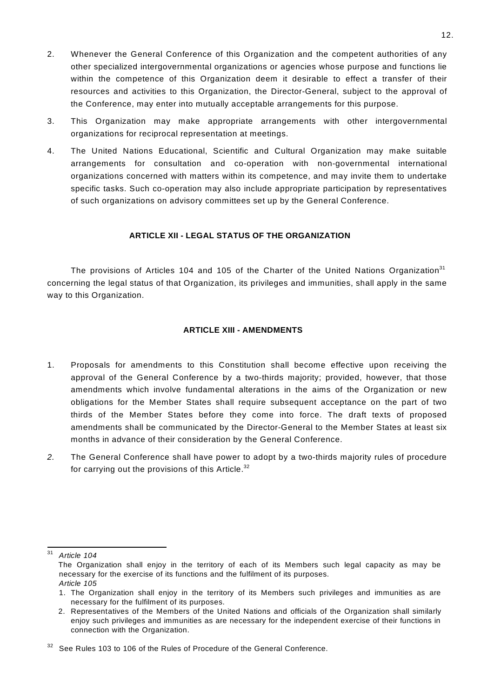- <span id="page-11-0"></span>2. Whenever the General Conference of this Organization and the competent authorities of any other specialized intergovernmental organizations or agencies whose purpose and functions lie within the competence of this Organization deem it desirable to effect a transfer of their resources and activities to this Organization, the Director-General, subject to the approval of the Conference, may enter into mutually acceptable arrangements for this purpose.
- 3. This Organization may make appropriate arrangements with other intergovernmental organizations for reciprocal representation at meetings.
- 4. The United Nations Educational, Scientific and Cultural Organization may make suitable arrangements for consultation and co-operation with non-governmental international organizations concerned with matters within its competence, and may invite them to undertake specific tasks. Such co-operation may also include appropriate participation by representatives of such organizations on advisory committees set up by the General Conference.

## **ARTICLE XII - LEGAL STATUS OF THE ORGANIZATION**

The provisions of Articles 104 and 105 of the Charter of the United Nations Organization<sup>31</sup> concerning the legal status of that Organization, its privileges and immunities, shall apply in the same way to this Organization.

## **ARTICLE XIII - AMENDMENTS**

- 1. Proposals for amendments to this Constitution shall become effective upon receiving the approval of the General Conference by a two-thirds majority; provided, however, that those amendments which involve fundamental alterations in the aims of the Organization or new obligations for the Member States shall require subsequent acceptance on the part of two thirds of the Member States before they come into force. The draft texts of proposed amendments shall be communicated by the Director-General to the Member States at least six months in advance of their consideration by the General Conference.
- *2.* The General Conference shall have power to adopt by a two-thirds majority rules of procedure for carrying out the provisions of this Article. $32$

l <sup>31</sup>*Article 104*

The Organization shall enjoy in the territory of each of its Members such legal capacity as may be necessary for the exercise of its functions and the fulfilment of its purposes. *Article 105*

<sup>1.</sup> The Organization shall enjoy in the territory of its Members such privileges and immunities as are necessary for the fulfilment of its purposes.

<sup>2.</sup> Representatives of the Members of the United Nations and officials of the Organization shall similarly enjoy such privileges and immunities as are necessary for the independent exercise of their functions in connection with the Organization.

<sup>&</sup>lt;sup>32</sup> See Rules 103 to 106 of the Rules of Procedure of the General Conference.